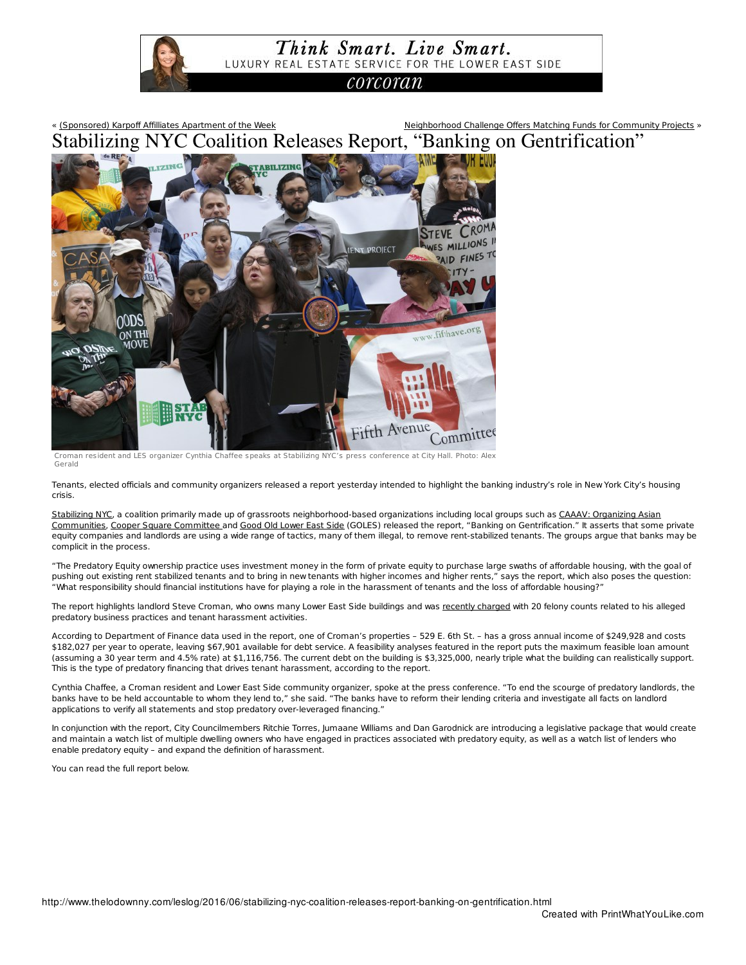

« (Sponsored) Karpoff Affilliates Apartment of the Week Neighborhood Challenge Offers Matching Funds for Community Projects » Stabilizing NYC Coalition Releases Report, "Banking on Gentrification"



Croman resident and LES organizer Cynthia Chaffee speaks at Stabilizing NYC's press conference at City Hall. Photo: Alex Gerald

Tenants, elected officials and community organizers released a report yesterday intended to highlight the banking industry's role in New York City's housing crisis.

Stabilizing NYC, a coalition primarily made up of grassroots neighborhood-based organizations including local groups such as CAAAV: Organizing Asian Communities, Cooper Square Committee and Good Old Lower East Side (GOLES) released the report, "Banking on Gentrification." It asserts that some private equity companies and landlords are using a wide range of tactics, many of them illegal, to remove rent-stabilized tenants. The groups argue that banks may be complicit in the process.

"The Predatory Equity ownership practice uses investment money in the form of private equity to purchase large swaths of affordable housing, with the goal of pushing out existing rent stabilized tenants and to bring in new tenants with higher incomes and higher rents," says the report, which also poses the question: "What responsibility should financial institutions have for playing a role in the harassment of tenants and the loss of affordable housing?"

The report highlights landlord Steve Croman, who owns many Lower East Side buildings and was recently charged with 20 felony counts related to his alleged predatory business practices and tenant harassment activities.

According to Department of Finance data used in the report, one of Croman's properties – 529 E. 6th St. – has a gross annual income of \$249,928 and costs \$182,027 per year to operate, leaving \$67,901 available for debt service. A feasibility analyses featured in the report puts the maximum feasible loan amount (assuming a 30 year term and 4.5% rate) at \$1,116,756. The current debt on the building is \$3,325,000, nearly triple what the building can realistically support. This is the type of predatory financing that drives tenant harassment, according to the report.

Cynthia Chaffee, a Croman resident and Lower East Side community organizer, spoke at the press conference. "To end the scourge of predatory landlords, the banks have to be held accountable to whom they lend to," she said. "The banks have to reform their lending criteria and investigate all facts on landlord applications to verify all statements and stop predatory over-leveraged financing."

In conjunction with the report, City Councilmembers Ritchie Torres, Jumaane Williams and Dan Garodnick are introducing a legislative package that would create and maintain a watch list of multiple dwelling owners who have engaged in practices associated with predatory equity, as well as a watch list of lenders who enable predatory equity – and expand the definition of harassment.

You can read the full report below.